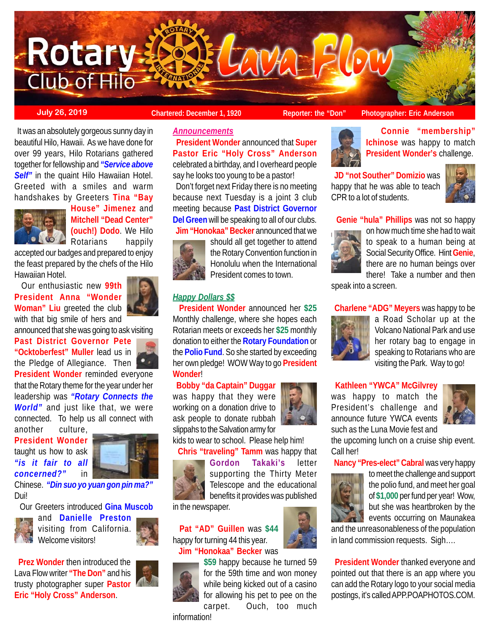

 **President Wonder** announced that **Super Pastor Eric "Holy Cross" Anderson** celebrated a birthday, and I overheard people say he looks too young to be a pastor!

 Don't forget next Friday there is no meeting because next Tuesday is a joint 3 club meeting because **Past District Governor Del Green** will be speaking to all of our clubs.  **Jim "Honokaa" Becker** announced that we

 **President Wonder** announced her **\$25** Monthly challenge, where she hopes each Rotarian meets or exceeds her **\$25** monthly donation to either the **Rotary Foundation** or the **Polio Fund**. So she started by exceeding her own pledge! WOW Way to go **President**

should all get together to attend the Rotary Convention function in Honolulu when the International President comes to town.

*Announcements*

*Happy Dollars \$\$*

**July 26, 2019 Chartered: December 1, 1920 Reporter: the "Don"** Photographer: Eric Anderson

 It was an absolutely gorgeous sunny day in beautiful Hilo, Hawaii. As we have done for over 99 years, Hilo Rotarians gathered together for fellowship and *"Service above* **Self**" in the quaint Hilo Hawaiian Hotel. Greeted with a smiles and warm handshakes by Greeters **Tina "Bay**



**House" Jimenez** and **Mitchell "Dead Center" (ouch!) Dodo**. We Hilo Rotarians happily

accepted our badges and prepared to enjoy the feast prepared by the chefs of the Hilo Hawaiian Hotel.

 Our enthusiastic new **99th President Anna "Wonder Woman" Liu** greeted the club with that big smile of hers and



announced that she was going to ask visiting

**Past District Governor Pete "Ocktoberfest" Muller** lead us in the Pledge of Allegiance. Then

**President Wonder** reminded everyone that the Rotary theme for the year under her leadership was *"Rotary Connects the World"* and just like that, we were connected. To help us all connect with

another culture, **President Wonder** taught us how to ask *"is it fair to all concerned?"* in



Chinese. *"Din suo yo yuan gon pin ma?"* Dui!

Our Greeters introduced **Gina Muscob**



and **Danielle Preston** visiting from California. Welcome visitors!





information!

 **Connie "membership" Ichinose** was happy to match **President Wonder's** challenge.

 **JD "not Souther" Domizio** was happy that he was able to teach CPR to a lot of students.



**Genie "hula" Phillips** was not so happy



on how much time she had to wait to speak to a human being at Social Security Office. Hint **Genie**, there are no human beings over there! Take a number and then

speak into a screen.

**Charlene "ADG" Meyers** was happy to be



a Road Scholar up at the Volcano National Park and use her rotary bag to engage in speaking to Rotarians who are visiting the Park. Way to go!

# **Kathleen "YWCA" McGilvrey**

was happy to match the President's challenge and announce future YWCA events such as the Luna Movie fest and



the upcoming lunch on a cruise ship event. Call her!

**Nancy "Pres-elect" Cabral** was very happy



to meet the challenge and support the polio fund, and meet her goal of **\$1,000** per fund per year! Wow, but she was heartbroken by the events occurring on Maunakea

and the unreasonableness of the population in land commission requests. Sigh….

 **President Wonder** thanked everyone and pointed out that there is an app where you can add the Rotary logo to your social media postings, it's called APP.POAPHOTOS.COM.



ask people to donate rubbah slippahs to the Salvation army for kids to wear to school. Please help him! **Chris "traveling" Tamm** was happy that



**Wonder**!

**Gordon Takaki's** letter supporting the Thirty Meter Telescope and the educational benefits it provides was published

in the newspaper.

 **Pat "AD" Guillen** was **\$44** happy for turning 44 this year. **Jim "Honokaa" Becker** was